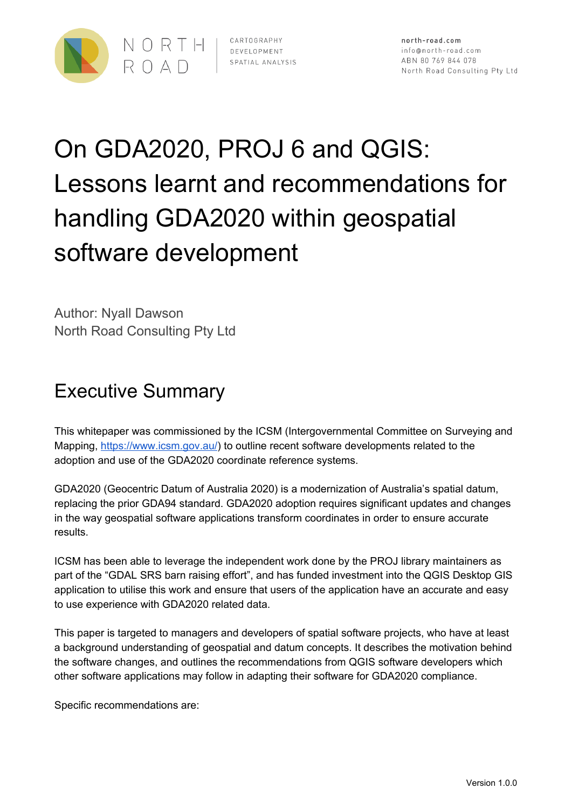

# On GDA2020, PROJ 6 and QGIS: Lessons learnt and recommendations for handling GDA2020 within geospatial software development

Author: Nyall Dawson North Road Consulting Pty Ltd

# Executive Summary

This whitepaper was commissioned by the ICSM (Intergovernmental Committee on Surveying and Mapping, [https://www.icsm.gov.au/\)](https://www.icsm.gov.au/) to outline recent software developments related to the adoption and use of the GDA2020 coordinate reference systems.

GDA2020 (Geocentric Datum of Australia 2020) is a modernization of Australia's spatial datum, replacing the prior GDA94 standard. GDA2020 adoption requires significant updates and changes in the way geospatial software applications transform coordinates in order to ensure accurate results.

ICSM has been able to leverage the independent work done by the PROJ library maintainers as part of the "GDAL SRS barn raising effort", and has funded investment into the QGIS Desktop GIS application to utilise this work and ensure that users of the application have an accurate and easy to use experience with GDA2020 related data.

This paper is targeted to managers and developers of spatial software projects, who have at least a background understanding of geospatial and datum concepts. It describes the motivation behind the software changes, and outlines the recommendations from QGIS software developers which other software applications may follow in adapting their software for GDA2020 compliance.

Specific recommendations are: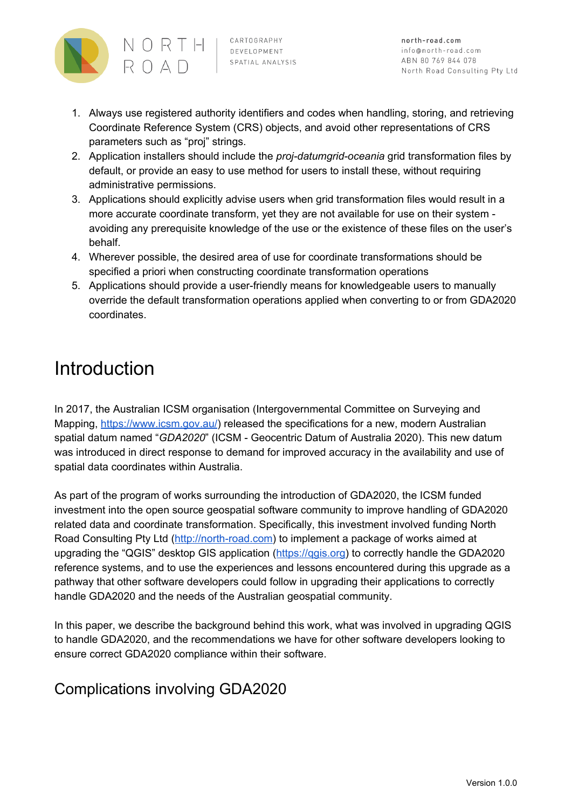

north-road.com info@north-road.com ABN 80 769 844 078 North Road Consulting Pty Ltd

- 1. Always use registered authority identifiers and codes when handling, storing, and retrieving Coordinate Reference System (CRS) objects, and avoid other representations of CRS parameters such as "proj" strings.
- 2. Application installers should include the *proj-datumgrid-oceania* grid transformation files by default, or provide an easy to use method for users to install these, without requiring administrative permissions.
- 3. Applications should explicitly advise users when grid transformation files would result in a more accurate coordinate transform, yet they are not available for use on their system avoiding any prerequisite knowledge of the use or the existence of these files on the user's behalf.
- 4. Wherever possible, the desired area of use for coordinate transformations should be specified a priori when constructing coordinate transformation operations
- 5. Applications should provide a user-friendly means for knowledgeable users to manually override the default transformation operations applied when converting to or from GDA2020 coordinates.

## Introduction

In 2017, the Australian ICSM organisation (Intergovernmental Committee on Surveying and Mapping, [https://www.icsm.gov.au/\)](https://www.icsm.gov.au/) released the specifications for a new, modern Australian spatial datum named "*GDA2020*" (ICSM - Geocentric Datum of Australia 2020). This new datum was introduced in direct response to demand for improved accuracy in the availability and use of spatial data coordinates within Australia.

As part of the program of works surrounding the introduction of GDA2020, the ICSM funded investment into the open source geospatial software community to improve handling of GDA2020 related data and coordinate transformation. Specifically, this investment involved funding North Road Consulting Pty Ltd [\(http://north-road.com](http://north-road.com/)) to implement a package of works aimed at upgrading the "QGIS" desktop GIS application (https://qqis.org) to correctly handle the GDA2020 reference systems, and to use the experiences and lessons encountered during this upgrade as a pathway that other software developers could follow in upgrading their applications to correctly handle GDA2020 and the needs of the Australian geospatial community.

In this paper, we describe the background behind this work, what was involved in upgrading QGIS to handle GDA2020, and the recommendations we have for other software developers looking to ensure correct GDA2020 compliance within their software.

## Complications involving GDA2020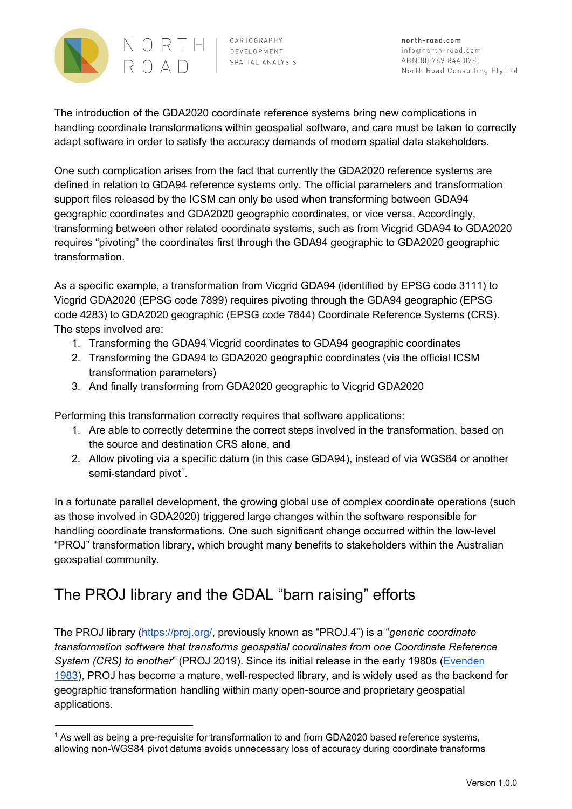

north-road.com info@north-road.com ABN 80 769 844 078 North Road Consulting Pty Ltd

The introduction of the GDA2020 coordinate reference systems bring new complications in handling coordinate transformations within geospatial software, and care must be taken to correctly adapt software in order to satisfy the accuracy demands of modern spatial data stakeholders.

One such complication arises from the fact that currently the GDA2020 reference systems are defined in relation to GDA94 reference systems only. The official parameters and transformation support files released by the ICSM can only be used when transforming between GDA94 geographic coordinates and GDA2020 geographic coordinates, or vice versa. Accordingly, transforming between other related coordinate systems, such as from Vicgrid GDA94 to GDA2020 requires "pivoting" the coordinates first through the GDA94 geographic to GDA2020 geographic transformation.

As a specific example, a transformation from Vicgrid GDA94 (identified by EPSG code 3111) to Vicgrid GDA2020 (EPSG code 7899) requires pivoting through the GDA94 geographic (EPSG code 4283) to GDA2020 geographic (EPSG code 7844) Coordinate Reference Systems (CRS). The steps involved are:

- 1. Transforming the GDA94 Vicgrid coordinates to GDA94 geographic coordinates
- 2. Transforming the GDA94 to GDA2020 geographic coordinates (via the official ICSM transformation parameters)
- 3. And finally transforming from GDA2020 geographic to Vicgrid GDA2020

Performing this transformation correctly requires that software applications:

- 1. Are able to correctly determine the correct steps involved in the transformation, based on the source and destination CRS alone, and
- 2. Allow pivoting via a specific datum (in this case GDA94), instead of via WGS84 or another semi-standard pivot<sup>1</sup>.

In a fortunate parallel development, the growing global use of complex coordinate operations (such as those involved in GDA2020) triggered large changes within the software responsible for handling coordinate transformations. One such significant change occurred within the low-level "PROJ" transformation library, which brought many benefits to stakeholders within the Australian geospatial community.

## The PROJ library and the GDAL "barn raising" efforts

The PROJ library (<https://proj.org/>, previously known as "PROJ.4") is a "*generic coordinate transformation software that transforms geospatial coordinates from one Coordinate Reference System (CRS) to another*" (PROJ 2019). Since its initial release in the early 1980s [\(Evenden](https://pubs.er.usgs.gov/publication/ofr83625) [1983](https://pubs.er.usgs.gov/publication/ofr83625)), PROJ has become a mature, well-respected library, and is widely used as the backend for geographic transformation handling within many open-source and proprietary geospatial applications.

<sup>&</sup>lt;sup>1</sup> As well as being a pre-requisite for transformation to and from GDA2020 based reference systems, allowing non-WGS84 pivot datums avoids unnecessary loss of accuracy during coordinate transforms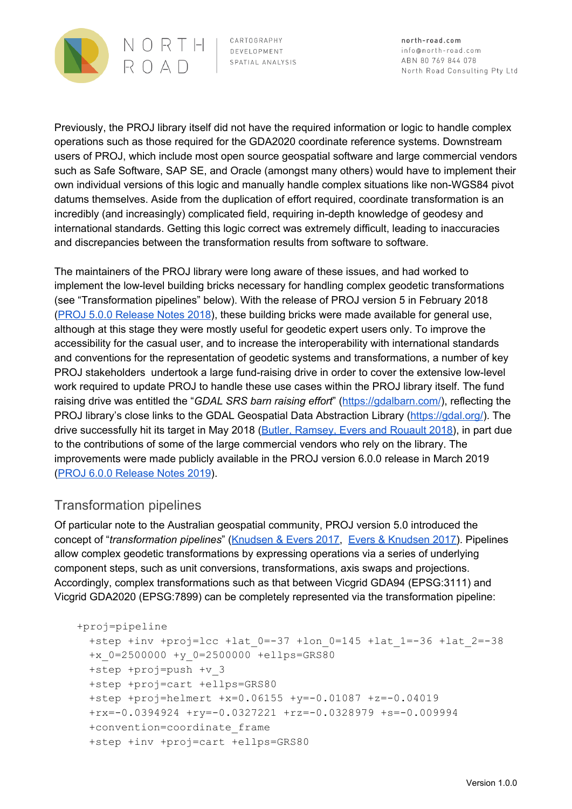

north-road.com info@north-road.com ABN 80 769 844 078 North Road Consulting Pty Ltd

Previously, the PROJ library itself did not have the required information or logic to handle complex operations such as those required for the GDA2020 coordinate reference systems. Downstream users of PROJ, which include most open source geospatial software and large commercial vendors such as Safe Software, SAP SE, and Oracle (amongst many others) would have to implement their own individual versions of this logic and manually handle complex situations like non-WGS84 pivot datums themselves. Aside from the duplication of effort required, coordinate transformation is an incredibly (and increasingly) complicated field, requiring in-depth knowledge of geodesy and international standards. Getting this logic correct was extremely difficult, leading to inaccuracies and discrepancies between the transformation results from software to software.

The maintainers of the PROJ library were long aware of these issues, and had worked to implement the low-level building bricks necessary for handling complex geodetic transformations (see "Transformation pipelines" below). With the release of PROJ version 5 in February 2018 (PROJ 5.0.0 [Release](https://proj.org/news.html#proj-5-0-0) Notes 2018), these building bricks were made available for general use, although at this stage they were mostly useful for geodetic expert users only. To improve the accessibility for the casual user, and to increase the interoperability with international standards and conventions for the representation of geodetic systems and transformations, a number of key PROJ stakeholders undertook a large fund-raising drive in order to cover the extensive low-level work required to update PROJ to handle these use cases within the PROJ library itself. The fund raising drive was entitled the "*GDAL SRS barn raising effort*" (<https://gdalbarn.com/>), reflecting the PROJ library's close links to the GDAL Geospatial Data Abstraction Library ([https://gdal.org/\)](https://gdal.org/). The drive successfully hit its target in May 2018 (Butler, [Ramsey,](https://gdalbarn.com/) Evers and Rouault 2018), in part due to the contributions of some of the large commercial vendors who rely on the library. The improvements were made publicly available in the PROJ version 6.0.0 release in March 2019 (PROJ 6.0.0 [Release](https://proj.org/news.html#id41) Notes 2019).

#### Transformation pipelines

Of particular note to the Australian geospatial community, PROJ version 5.0 introduced the concept of "*transformation pipelines*" ([Knudsen](https://meetingorganizer.copernicus.org/EGU2017/EGU2017-8050.pdf) & Evers 2017, Evers & [Knudsen](https://www.fig.net/resources/proceedings/fig_proceedings/fig2017/papers/iss6b/ISS6B_evers_knudsen_9156.pdf) 2017). Pipelines allow complex geodetic transformations by expressing operations via a series of underlying component steps, such as unit conversions, transformations, axis swaps and projections. Accordingly, complex transformations such as that between Vicgrid GDA94 (EPSG:3111) and Vicgrid GDA2020 (EPSG:7899) can be completely represented via the transformation pipeline:

```
+proj=pipeline
 +step +inv +proj=lcc +lat_0=-37 +lon_0=145 +lat_1=-36 +lat_2=-38
 +x_0=2500000 +y_0=2500000 +ellps=GRS80
 +step +proj=push +v_3
 +step +proj=cart +ellps=GRS80
 +step +proj=helmert +x=0.06155 +y=-0.01087 +z=-0.04019
 +rx=-0.0394924 +ry=-0.0327221 +rz=-0.0328979 +s=-0.009994
 +convention=coordinate_frame
 +step +inv +proj=cart +ellps=GRS80
```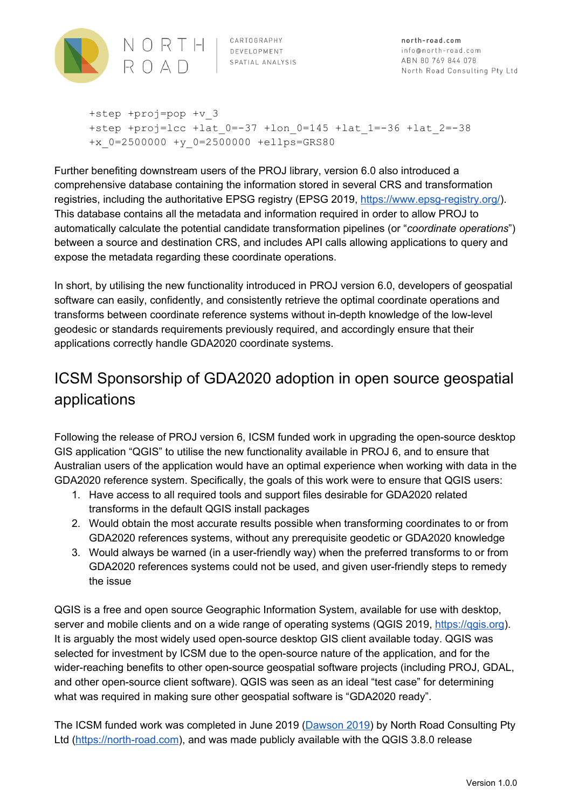

+step +proj=pop +v\_3 +step +proj=lcc +lat\_0=-37 +lon\_0=145 +lat\_1=-36 +lat\_2=-38 +x\_0=2500000 +y\_0=2500000 +ellps=GRS80

Further benefiting downstream users of the PROJ library, version 6.0 also introduced a comprehensive database containing the information stored in several CRS and transformation registries, including the authoritative EPSG registry (EPSG 2019, [https://www.epsg-registry.org/\)](https://www.epsg-registry.org/). This database contains all the metadata and information required in order to allow PROJ to automatically calculate the potential candidate transformation pipelines (or "*coordinate operations*") between a source and destination CRS, and includes API calls allowing applications to query and expose the metadata regarding these coordinate operations.

In short, by utilising the new functionality introduced in PROJ version 6.0, developers of geospatial software can easily, confidently, and consistently retrieve the optimal coordinate operations and transforms between coordinate reference systems without in-depth knowledge of the low-level geodesic or standards requirements previously required, and accordingly ensure that their applications correctly handle GDA2020 coordinate systems.

## ICSM Sponsorship of GDA2020 adoption in open source geospatial applications

Following the release of PROJ version 6, ICSM funded work in upgrading the open-source desktop GIS application "QGIS" to utilise the new functionality available in PROJ 6, and to ensure that Australian users of the application would have an optimal experience when working with data in the GDA2020 reference system. Specifically, the goals of this work were to ensure that QGIS users:

- 1. Have access to all required tools and support files desirable for GDA2020 related transforms in the default QGIS install packages
- 2. Would obtain the most accurate results possible when transforming coordinates to or from GDA2020 references systems, without any prerequisite geodetic or GDA2020 knowledge
- 3. Would always be warned (in a user-friendly way) when the preferred transforms to or from GDA2020 references systems could not be used, and given user-friendly steps to remedy the issue

QGIS is a free and open source Geographic Information System, available for use with desktop, server and mobile clients and on a wide range of operating systems (QGIS 2019, https://ggis.org). It is arguably the most widely used open-source desktop GIS client available today. QGIS was selected for investment by ICSM due to the open-source nature of the application, and for the wider-reaching benefits to other open-source geospatial software projects (including PROJ, GDAL, and other open-source client software). QGIS was seen as an ideal "test case" for determining what was required in making sure other geospatial software is "GDA2020 ready".

The ICSM funded work was completed in June 2019 [\(Dawson](https://lists.osgeo.org/pipermail/qgis-developer/2019-June/057525.html) 2019) by North Road Consulting Pty Ltd ([https://north-road.com](https://north-road.com/)), and was made publicly available with the QGIS 3.8.0 release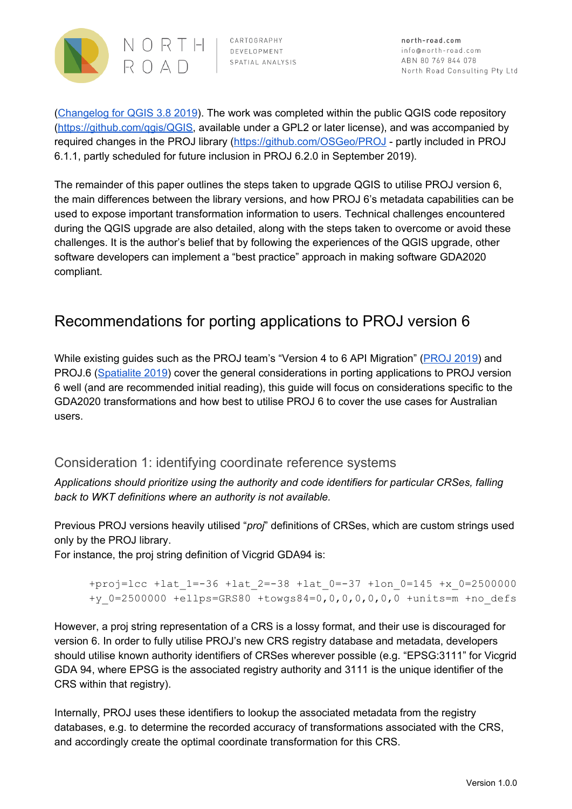

north-road.com info@north-road.com ABN 80 769 844 078 North Road Consulting Pty Ltd

[\(Changelog](https://qgis.org/en/site/forusers/visualchangelog38/#feature-much-improved-coordinate-transform-handling) for QGIS 3.8 2019). The work was completed within the public QGIS code repository [\(https://github.com/qgis/QGIS](https://github.com/qgis/QGIS), available under a GPL2 or later license), and was accompanied by required changes in the PROJ library (<https://github.com/OSGeo/PROJ> - partly included in PROJ 6.1.1, partly scheduled for future inclusion in PROJ 6.2.0 in September 2019).

The remainder of this paper outlines the steps taken to upgrade QGIS to utilise PROJ version 6, the main differences between the library versions, and how PROJ 6's metadata capabilities can be used to expose important transformation information to users. Technical challenges encountered during the QGIS upgrade are also detailed, along with the steps taken to overcome or avoid these challenges. It is the author's belief that by following the experiences of the QGIS upgrade, other software developers can implement a "best practice" approach in making software GDA2020 compliant.

## Recommendations for porting applications to PROJ version 6

While existing guides such as the PROJ team's "Version 4 to 6 API Migration" [\(PROJ](https://proj.org/development/migration.html) 2019) and PROJ.6 ([Spatialite](https://www.gaia-gis.it/fossil/libspatialite/wiki?name=PROJ.6) 2019) cover the general considerations in porting applications to PROJ version 6 well (and are recommended initial reading), this guide will focus on considerations specific to the GDA2020 transformations and how best to utilise PROJ 6 to cover the use cases for Australian users.

#### Consideration 1: identifying coordinate reference systems

*Applications should prioritize using the authority and code identifiers for particular CRSes, falling back to WKT definitions where an authority is not available.*

Previous PROJ versions heavily utilised "*proj*" definitions of CRSes, which are custom strings used only by the PROJ library.

For instance, the proj string definition of Vicgrid GDA94 is:

```
+proj=lcc +lat_1=-36 +lat_2=-38 +lat_0=-37 +lon_0=145 +x_0=2500000
+y_0=2500000 +ellps=GRS80 +towgs84=0,0,0,0,0,0,0 +units=m +no_defs
```
However, a proj string representation of a CRS is a lossy format, and their use is discouraged for version 6. In order to fully utilise PROJ's new CRS registry database and metadata, developers should utilise known authority identifiers of CRSes wherever possible (e.g. "EPSG:3111" for Vicgrid GDA 94, where EPSG is the associated registry authority and 3111 is the unique identifier of the CRS within that registry).

Internally, PROJ uses these identifiers to lookup the associated metadata from the registry databases, e.g. to determine the recorded accuracy of transformations associated with the CRS, and accordingly create the optimal coordinate transformation for this CRS.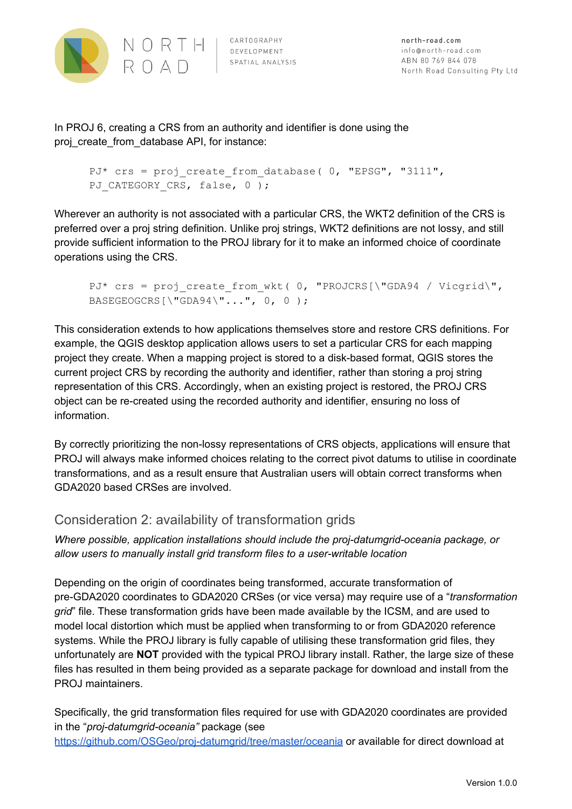

In PROJ 6, creating a CRS from an authority and identifier is done using the proj\_create\_from\_database API, for instance:

```
PJ* crs = proj_create_from_database( 0, "EPSG", "3111",
PJ CATEGORY CRS, false, 0 );
```
Wherever an authority is not associated with a particular CRS, the WKT2 definition of the CRS is preferred over a proj string definition. Unlike proj strings, WKT2 definitions are not lossy, and still provide sufficient information to the PROJ library for it to make an informed choice of coordinate operations using the CRS.

```
PJ* crs = proj create from wkt( 0, "PROJCRS[\"GDA94 / Vicgrid\",
BASEGEOGCRS[\"GDA94\"...", 0, 0 );
```
This consideration extends to how applications themselves store and restore CRS definitions. For example, the QGIS desktop application allows users to set a particular CRS for each mapping project they create. When a mapping project is stored to a disk-based format, QGIS stores the current project CRS by recording the authority and identifier, rather than storing a proj string representation of this CRS. Accordingly, when an existing project is restored, the PROJ CRS object can be re-created using the recorded authority and identifier, ensuring no loss of information.

By correctly prioritizing the non-lossy representations of CRS objects, applications will ensure that PROJ will always make informed choices relating to the correct pivot datums to utilise in coordinate transformations, and as a result ensure that Australian users will obtain correct transforms when GDA2020 based CRSes are involved.

#### Consideration 2: availability of transformation grids

*Where possible, application installations should include the proj-datumgrid-oceania package, or allow users to manually install grid transform files to a user-writable location*

Depending on the origin of coordinates being transformed, accurate transformation of pre-GDA2020 coordinates to GDA2020 CRSes (or vice versa) may require use of a "*transformation grid*" file. These transformation grids have been made available by the ICSM, and are used to model local distortion which must be applied when transforming to or from GDA2020 reference systems. While the PROJ library is fully capable of utilising these transformation grid files, they unfortunately are **NOT** provided with the typical PROJ library install. Rather, the large size of these files has resulted in them being provided as a separate package for download and install from the PROJ maintainers.

Specifically, the grid transformation files required for use with GDA2020 coordinates are provided in the "*proj-datumgrid-oceania"* package (see <https://github.com/OSGeo/proj-datumgrid/tree/master/oceania> or available for direct download at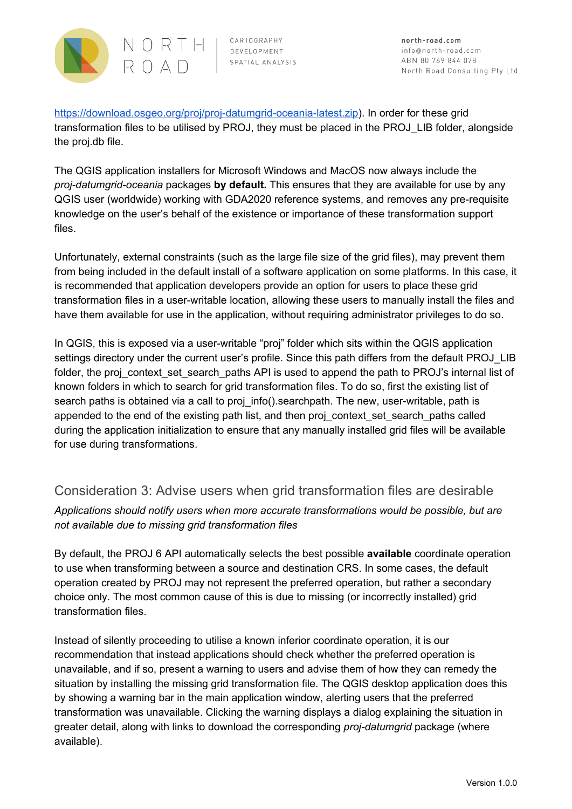

north-road.com info@north-road.com ABN 80 769 844 078 North Road Consulting Pty Ltd

[https://download.osgeo.org/proj/proj-datumgrid-oceania-latest.zip\)](https://download.osgeo.org/proj/proj-datumgrid-oceania-latest.zip). In order for these grid transformation files to be utilised by PROJ, they must be placed in the PROJ\_LIB folder, alongside the proj.db file.

The QGIS application installers for Microsoft Windows and MacOS now always include the *proj-datumgrid-oceania* packages **by default.** This ensures that they are available for use by any QGIS user (worldwide) working with GDA2020 reference systems, and removes any pre-requisite knowledge on the user's behalf of the existence or importance of these transformation support files.

Unfortunately, external constraints (such as the large file size of the grid files), may prevent them from being included in the default install of a software application on some platforms. In this case, it is recommended that application developers provide an option for users to place these grid transformation files in a user-writable location, allowing these users to manually install the files and have them available for use in the application, without requiring administrator privileges to do so.

In QGIS, this is exposed via a user-writable "proj" folder which sits within the QGIS application settings directory under the current user's profile. Since this path differs from the default PROJ\_LIB folder, the proj\_context\_set\_search\_paths API is used to append the path to PROJ's internal list of known folders in which to search for grid transformation files. To do so, first the existing list of search paths is obtained via a call to proj info().searchpath. The new, user-writable, path is appended to the end of the existing path list, and then proj\_context\_set\_search\_paths called during the application initialization to ensure that any manually installed grid files will be available for use during transformations.

#### Consideration 3: Advise users when grid transformation files are desirable

*Applications should notify users when more accurate transformations would be possible, but are not available due to missing grid transformation files*

By default, the PROJ 6 API automatically selects the best possible **available** coordinate operation to use when transforming between a source and destination CRS. In some cases, the default operation created by PROJ may not represent the preferred operation, but rather a secondary choice only. The most common cause of this is due to missing (or incorrectly installed) grid transformation files.

Instead of silently proceeding to utilise a known inferior coordinate operation, it is our recommendation that instead applications should check whether the preferred operation is unavailable, and if so, present a warning to users and advise them of how they can remedy the situation by installing the missing grid transformation file. The QGIS desktop application does this by showing a warning bar in the main application window, alerting users that the preferred transformation was unavailable. Clicking the warning displays a dialog explaining the situation in greater detail, along with links to download the corresponding *proj-datumgrid* package (where available).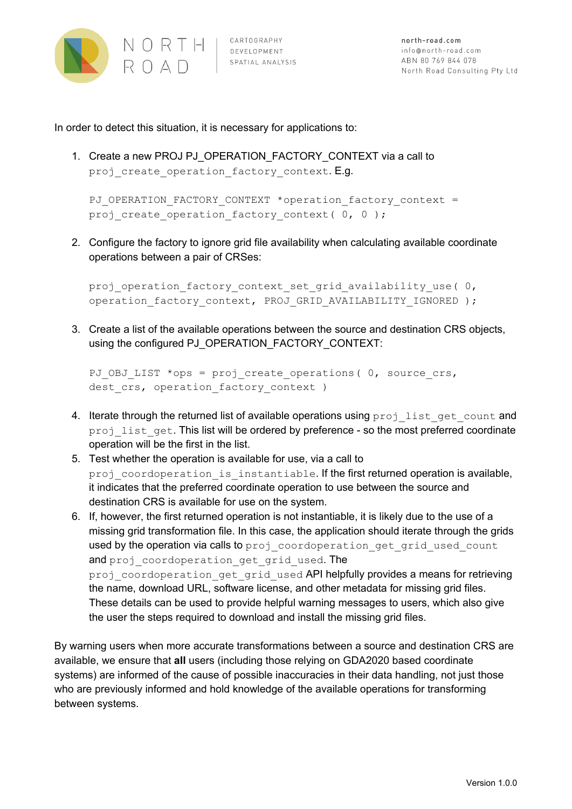

CARTOGRAPHY SPATIAL ANALYSIS

In order to detect this situation, it is necessary for applications to:

1. Create a new PROJ PJ\_OPERATION\_FACTORY\_CONTEXT via a call to proj create operation factory context. E.g.

PJ\_OPERATION\_FACTORY\_CONTEXT \*operation factory context = proj create operation factory context(  $0, 0$  );

2. Configure the factory to ignore grid file availability when calculating available coordinate operations between a pair of CRSes:

proj operation factory context set grid availability use( 0, operation factory context, PROJ GRID AVAILABILITY IGNORED );

3. Create a list of the available operations between the source and destination CRS objects, using the configured PJ\_OPERATION\_FACTORY\_CONTEXT:

```
PJ_OBJ_LIST *ops = proj create operations( 0, source crs,
dest crs, operation factory context )
```
- 4. Iterate through the returned list of available operations using proj\_list\_get\_count and proj\_list\_get. This list will be ordered by preference - so the most preferred coordinate operation will be the first in the list.
- 5. Test whether the operation is available for use, via a call to proj coordoperation is instantiable. If the first returned operation is available, it indicates that the preferred coordinate operation to use between the source and destination CRS is available for use on the system.
- 6. If, however, the first returned operation is not instantiable, it is likely due to the use of a missing grid transformation file. In this case, the application should iterate through the grids used by the operation via calls to proj\_coordoperation\_get\_grid\_used\_count and proj coordoperation get grid used. The proj coordoperation get grid used API helpfully provides a means for retrieving the name, download URL, software license, and other metadata for missing grid files. These details can be used to provide helpful warning messages to users, which also give the user the steps required to download and install the missing grid files.

By warning users when more accurate transformations between a source and destination CRS are available, we ensure that **all** users (including those relying on GDA2020 based coordinate systems) are informed of the cause of possible inaccuracies in their data handling, not just those who are previously informed and hold knowledge of the available operations for transforming between systems.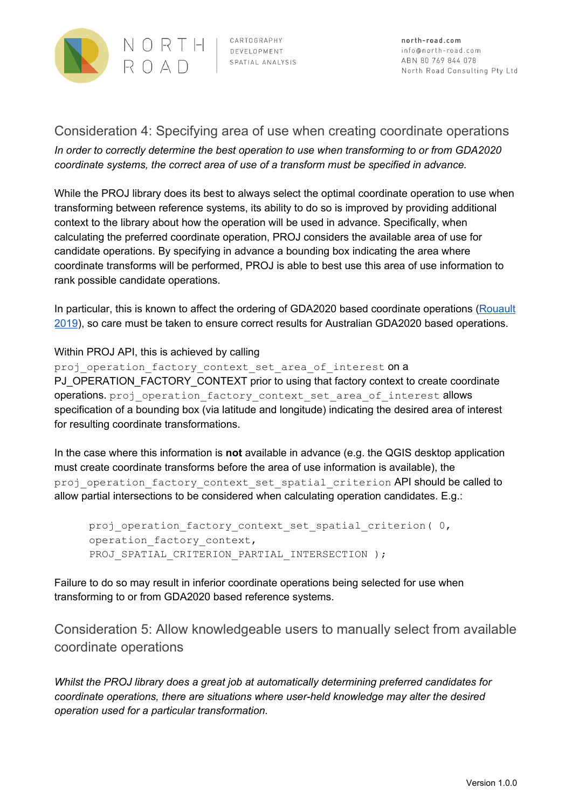

#### Consideration 4: Specifying area of use when creating coordinate operations

*In order to correctly determine the best operation to use when transforming to or from GDA2020 coordinate systems, the correct area of use of a transform must be specified in advance.*

While the PROJ library does its best to always select the optimal coordinate operation to use when transforming between reference systems, its ability to do so is improved by providing additional context to the library about how the operation will be used in advance. Specifically, when calculating the preferred coordinate operation, PROJ considers the available area of use for candidate operations. By specifying in advance a bounding box indicating the area where coordinate transforms will be performed, PROJ is able to best use this area of use information to rank possible candidate operations.

In particular, this is known to affect the ordering of GDA2020 based coordinate operations [\(Rouault](https://lists.osgeo.org/pipermail/proj/2019-May/008604.html) [2019](https://lists.osgeo.org/pipermail/proj/2019-May/008604.html)), so care must be taken to ensure correct results for Australian GDA2020 based operations.

#### Within PROJ API, this is achieved by calling

proj operation factory context set area of interest on a PJ\_OPERATION\_FACTORY\_CONTEXT prior to using that factory context to create coordinate operations. proj operation factory context set area of interest allows specification of a bounding box (via latitude and longitude) indicating the desired area of interest for resulting coordinate transformations.

In the case where this information is **not** available in advance (e.g. the QGIS desktop application must create coordinate transforms before the area of use information is available), the proj\_operation\_factory\_context\_set\_spatial\_criterion API should be called to allow partial intersections to be considered when calculating operation candidates. E.g.:

proj\_operation\_factory\_context\_set\_spatial\_criterion(0, operation factory context, PROJ SPATIAL CRITERION PARTIAL INTERSECTION );

Failure to do so may result in inferior coordinate operations being selected for use when transforming to or from GDA2020 based reference systems.

Consideration 5: Allow knowledgeable users to manually select from available coordinate operations

*Whilst the PROJ library does a great job at automatically determining preferred candidates for coordinate operations, there are situations where user-held knowledge may alter the desired operation used for a particular transformation.*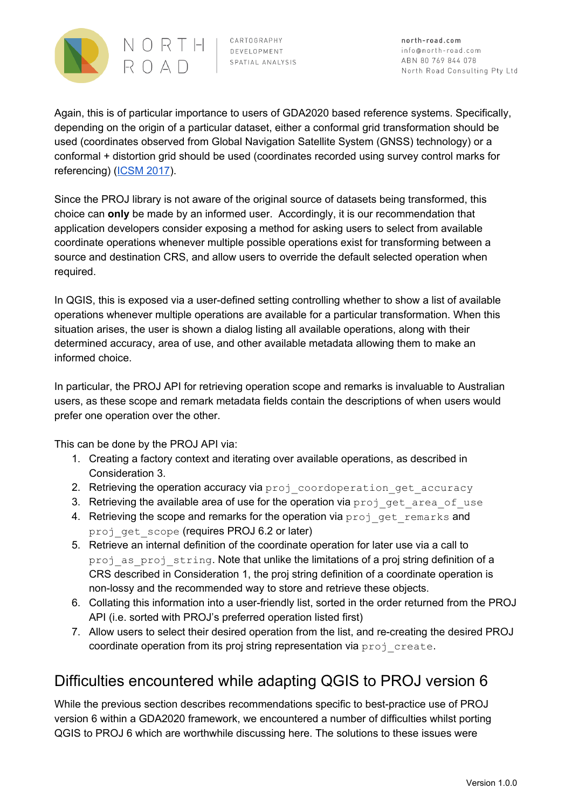

north-road.com info@north-road.com ABN 80 769 844 078 North Road Consulting Pty Ltd

Again, this is of particular importance to users of GDA2020 based reference systems. Specifically, depending on the origin of a particular dataset, either a conformal grid transformation should be used (coordinates observed from Global Navigation Satellite System (GNSS) technology) or a conformal + distortion grid should be used (coordinates recorded using survey control marks for referencing) [\(ICSM](https://www.icsm.gov.au/sites/default/files/DatumMattersT1FactSheet.pdf) 2017).

Since the PROJ library is not aware of the original source of datasets being transformed, this choice can **only** be made by an informed user. Accordingly, it is our recommendation that application developers consider exposing a method for asking users to select from available coordinate operations whenever multiple possible operations exist for transforming between a source and destination CRS, and allow users to override the default selected operation when required.

In QGIS, this is exposed via a user-defined setting controlling whether to show a list of available operations whenever multiple operations are available for a particular transformation. When this situation arises, the user is shown a dialog listing all available operations, along with their determined accuracy, area of use, and other available metadata allowing them to make an informed choice.

In particular, the PROJ API for retrieving operation scope and remarks is invaluable to Australian users, as these scope and remark metadata fields contain the descriptions of when users would prefer one operation over the other.

This can be done by the PROJ API via:

- 1. Creating a factory context and iterating over available operations, as described in Consideration 3.
- 2. Retrieving the operation accuracy via proj coordoperation get accuracy
- 3. Retrieving the available area of use for the operation via proj\_get\_area\_of\_use
- 4. Retrieving the scope and remarks for the operation via proj get remarks and proj get scope (requires PROJ 6.2 or later)
- 5. Retrieve an internal definition of the coordinate operation for later use via a call to proj as proj string. Note that unlike the limitations of a proj string definition of a CRS described in Consideration 1, the proj string definition of a coordinate operation is non-lossy and the recommended way to store and retrieve these objects.
- 6. Collating this information into a user-friendly list, sorted in the order returned from the PROJ API (i.e. sorted with PROJ's preferred operation listed first)
- 7. Allow users to select their desired operation from the list, and re-creating the desired PROJ coordinate operation from its proj string representation via proj create.

## Difficulties encountered while adapting QGIS to PROJ version 6

While the previous section describes recommendations specific to best-practice use of PROJ version 6 within a GDA2020 framework, we encountered a number of difficulties whilst porting QGIS to PROJ 6 which are worthwhile discussing here. The solutions to these issues were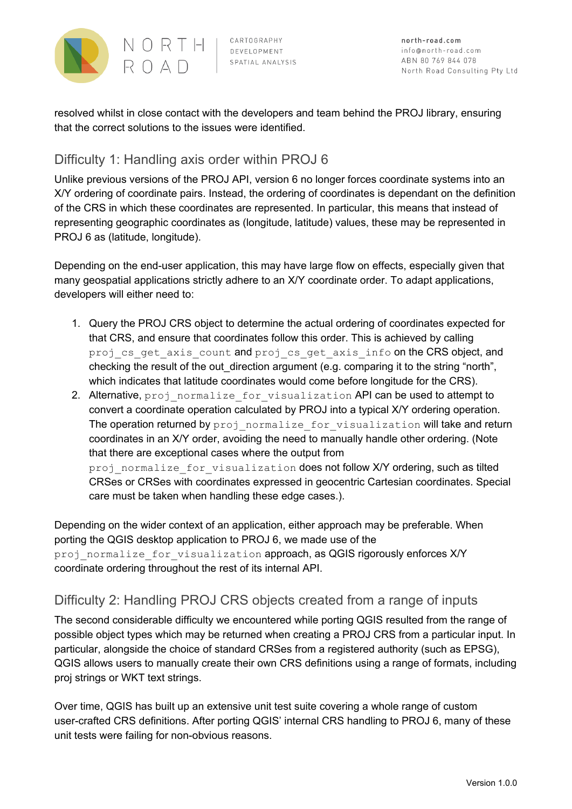

resolved whilst in close contact with the developers and team behind the PROJ library, ensuring that the correct solutions to the issues were identified.

#### Difficulty 1: Handling axis order within PROJ 6

Unlike previous versions of the PROJ API, version 6 no longer forces coordinate systems into an X/Y ordering of coordinate pairs. Instead, the ordering of coordinates is dependant on the definition of the CRS in which these coordinates are represented. In particular, this means that instead of representing geographic coordinates as (longitude, latitude) values, these may be represented in PROJ 6 as (latitude, longitude).

Depending on the end-user application, this may have large flow on effects, especially given that many geospatial applications strictly adhere to an X/Y coordinate order. To adapt applications, developers will either need to:

- 1. Query the PROJ CRS object to determine the actual ordering of coordinates expected for that CRS, and ensure that coordinates follow this order. This is achieved by calling proj cs get axis count and proj cs get axis info on the CRS object, and checking the result of the out direction argument (e.g. comparing it to the string "north", which indicates that latitude coordinates would come before longitude for the CRS).
- 2. Alternative, proj\_normalize\_for\_visualization API can be used to attempt to convert a coordinate operation calculated by PROJ into a typical X/Y ordering operation. The operation returned by proj normalize for visualization will take and return coordinates in an X/Y order, avoiding the need to manually handle other ordering. (Note that there are exceptional cases where the output from proj normalize for visualization does not follow X/Y ordering, such as tilted CRSes or CRSes with coordinates expressed in geocentric Cartesian coordinates. Special care must be taken when handling these edge cases.).

Depending on the wider context of an application, either approach may be preferable. When porting the QGIS desktop application to PROJ 6, we made use of the proj normalize for visualization approach, as QGIS rigorously enforces X/Y coordinate ordering throughout the rest of its internal API.

#### Difficulty 2: Handling PROJ CRS objects created from a range of inputs

The second considerable difficulty we encountered while porting QGIS resulted from the range of possible object types which may be returned when creating a PROJ CRS from a particular input. In particular, alongside the choice of standard CRSes from a registered authority (such as EPSG), QGIS allows users to manually create their own CRS definitions using a range of formats, including proj strings or WKT text strings.

Over time, QGIS has built up an extensive unit test suite covering a whole range of custom user-crafted CRS definitions. After porting QGIS' internal CRS handling to PROJ 6, many of these unit tests were failing for non-obvious reasons.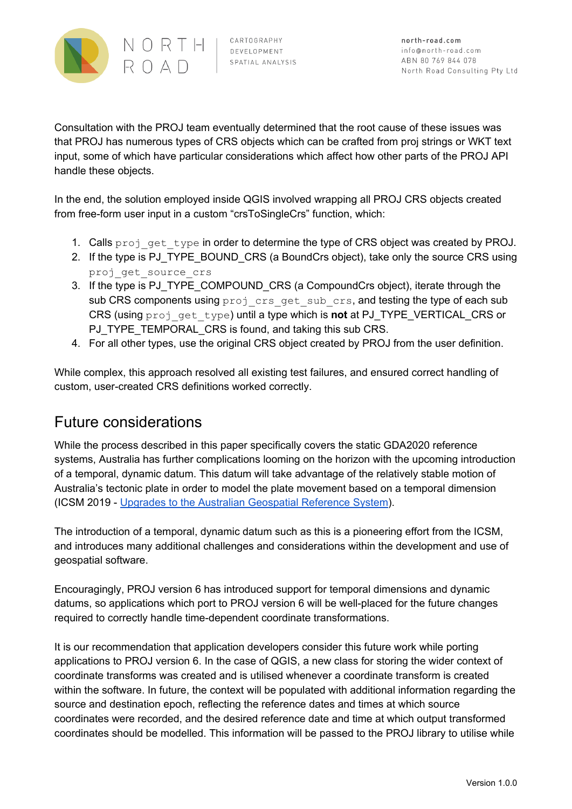

Consultation with the PROJ team eventually determined that the root cause of these issues was that PROJ has numerous types of CRS objects which can be crafted from proj strings or WKT text input, some of which have particular considerations which affect how other parts of the PROJ API handle these objects.

In the end, the solution employed inside QGIS involved wrapping all PROJ CRS objects created from free-form user input in a custom "crsToSingleCrs" function, which:

- 1. Calls proj get type in order to determine the type of CRS object was created by PROJ.
- 2. If the type is PJ\_TYPE\_BOUND\_CRS (a BoundCrs object), take only the source CRS using proj get source crs
- 3. If the type is PJ\_TYPE\_COMPOUND\_CRS (a CompoundCrs object), iterate through the sub CRS components using proj crs get sub crs, and testing the type of each sub CRS (using proj\_get\_type) until a type which is **not** at PJ\_TYPE\_VERTICAL\_CRS or PJ\_TYPE\_TEMPORAL\_CRS is found, and taking this sub CRS.
- 4. For all other types, use the original CRS object created by PROJ from the user definition.

While complex, this approach resolved all existing test failures, and ensured correct handling of custom, user-created CRS definitions worked correctly.

## Future considerations

While the process described in this paper specifically covers the static GDA2020 reference systems, Australia has further complications looming on the horizon with the upcoming introduction of a temporal, dynamic datum. This datum will take advantage of the relatively stable motion of Australia's tectonic plate in order to model the plate movement based on a temporal dimension (ICSM 2019 - Upgrades to the Australian [Geospatial](https://www.icsm.gov.au/upgrades-australian-geospatial-reference-system) Reference System).

The introduction of a temporal, dynamic datum such as this is a pioneering effort from the ICSM, and introduces many additional challenges and considerations within the development and use of geospatial software.

Encouragingly, PROJ version 6 has introduced support for temporal dimensions and dynamic datums, so applications which port to PROJ version 6 will be well-placed for the future changes required to correctly handle time-dependent coordinate transformations.

It is our recommendation that application developers consider this future work while porting applications to PROJ version 6. In the case of QGIS, a new class for storing the wider context of coordinate transforms was created and is utilised whenever a coordinate transform is created within the software. In future, the context will be populated with additional information regarding the source and destination epoch, reflecting the reference dates and times at which source coordinates were recorded, and the desired reference date and time at which output transformed coordinates should be modelled. This information will be passed to the PROJ library to utilise while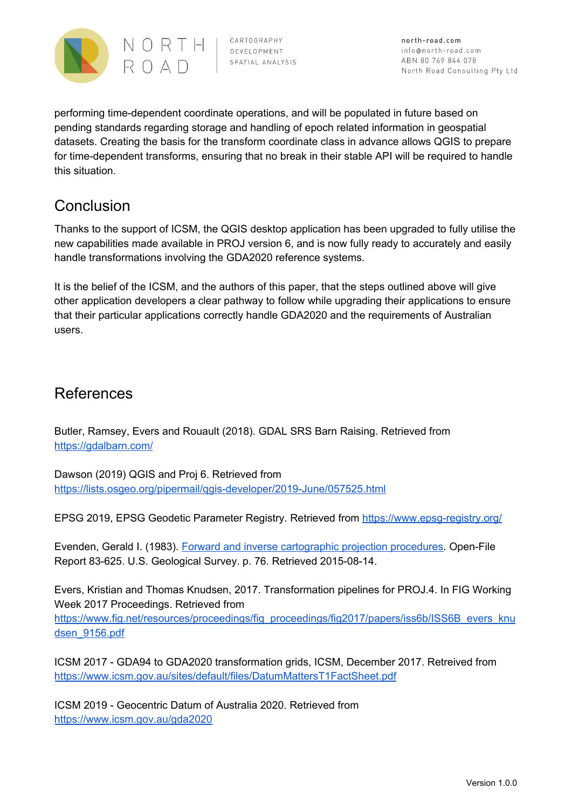

north-road.com info@north-road.com ABN 80 769 844 078 North Road Consulting Pty Ltd

performing time-dependent coordinate operations, and will be populated in future based on pending standards regarding storage and handling of epoch related information in geospatial datasets. Creating the basis for the transform coordinate class in advance allows QGIS to prepare for time-dependent transforms, ensuring that no break in their stable API will be required to handle this situation.

## Conclusion

Thanks to the support of ICSM, the QGIS desktop application has been upgraded to fully utilise the new capabilities made available in PROJ version 6, and is now fully ready to accurately and easily handle transformations involving the GDA2020 reference systems.

It is the belief of the ICSM, and the authors of this paper, that the steps outlined above will give other application developers a clear pathway to follow while upgrading their applications to ensure that their particular applications correctly handle GDA2020 and the requirements of Australian users.

## References

Butler, Ramsey, Evers and Rouault (2018). GDAL SRS Barn Raising. Retrieved from <https://gdalbarn.com/>

Dawson (2019) QGIS and Proj 6. Retrieved from <https://lists.osgeo.org/pipermail/qgis-developer/2019-June/057525.html>

EPSG 2019, EPSG Geodetic Parameter Registry. Retrieved from <https://www.epsg-registry.org/>

Evenden, Gerald I. (1983). Forward and inverse [cartographic](https://pubs.er.usgs.gov/publication/ofr83625) projection procedures. Open-File Report 83-625. U.S. Geological Survey. p. 76. Retrieved 2015-08-14.

Evers, Kristian and Thomas Knudsen, 2017. Transformation pipelines for PROJ.4. In FIG Working Week 2017 Proceedings. Retrieved from [https://www.fig.net/resources/proceedings/fig\\_proceedings/fig2017/papers/iss6b/ISS6B\\_evers\\_knu](https://www.fig.net/resources/proceedings/fig_proceedings/fig2017/papers/iss6b/ISS6B_evers_knudsen_9156.pdf) [dsen\\_9156.pdf](https://www.fig.net/resources/proceedings/fig_proceedings/fig2017/papers/iss6b/ISS6B_evers_knudsen_9156.pdf)

ICSM 2017 - GDA94 to GDA2020 transformation grids, ICSM, December 2017. Retreived from <https://www.icsm.gov.au/sites/default/files/DatumMattersT1FactSheet.pdf>

ICSM 2019 - Geocentric Datum of Australia 2020. Retrieved from <https://www.icsm.gov.au/gda2020>